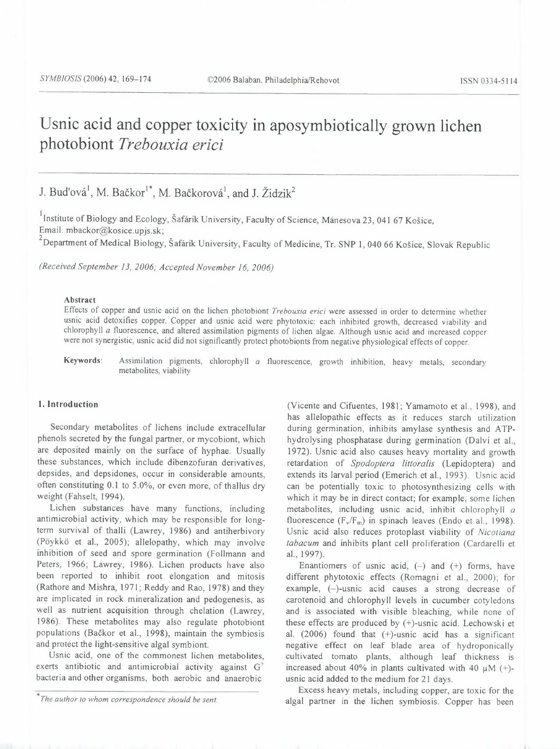# Usnic acid and copper toxicity in aposymbiotically grown lichen photobiont *Trebouxia erici*

# J. Buďová<sup>1</sup>, M. Bačkor<sup>1\*</sup>, M. Bačkorová<sup>1</sup>, and J. Židzik<sup>2</sup>

Institute of Biology and Ecology, Šafárik University, Faculty of Science, Mánesova 23, 041 67 Košice, Email. mbackor@kosice.upjs.sk;

<sup>2</sup> Department of Medical Biology, Šafárik University, Faculty of Medicine, Tr. SNP 1, 040 66 Košice, Slovak Republic

*(Received September 13, 2006; Accepted November 16, 2006)* 

# Abstract

Effects of copper and usnic acid on the lichen photobiont *Trebouxia erici* were assessed in order to determine whether usnic acid detoxifies copper. Copper and usnic acid were phytotoxic: each inhibited growth, decreased viability and chlorophyll *a* fluorescence, and altered assimilation pigments of lichen algae. Although usnic acid and increased copper were not synergistic, usnic acid did not significantly protect photobionts from negative physiological effects of copper.

Keywords: Assimilation pigments, chlorophyll *a* fluorescence, growth inhibition, heavy metals, secondary metabolites, viability

# l. Introduction

Secondary metabolites of lichens include extracellular phenols secreted by the fungal partner, or mycobiont, which are deposited mainly on the surface of hyphae. Usually these substances, which include dibenzofuran derivatives, depsides, and depsidones, occur in considerable amounts, often constituting 0.1 to 5.0%, or even more, of thallus dry weight (Fahselt, 1994).

Lichen substances have many functions, including antimicrobial activity, which may be responsible for longterm survival of thalli (Lawrey, 1986) and antiherbivory (Pöykkö et al., 2005); allelopathy, which may involve inhibition of seed and spore germination (Follmann and Peters, 1966; Lawrey, 1986). Lichen products have also been reported to inhibit root elongation and mitosis (Rathore and Mishra, 1971; Reddy and Rao, 1978) and they are implicated in rock mineralization and pedogenesis, as well as nutrient acquisition through chelation (Lawrey, 1986). These metabolites may also regulate photobiont populations (Bačkor et al., 1998), maintain the symbiosis and protect the light-sensitive algal symbiont.

Usnic acid, one of the commonest lichen metabolites, exerts antibiotic and antimicrobial activity against  $G^+$ bacteria and other organisms, both aerobic and anaerobic

(Vicente and Cifuentes, 1981; Yamamoto et al., 1998), and has allelopathic effects as it reduces starch utilization during germination, inhibits amylase synthesis and ATPhydrolysing phosphatase during germination (Dalvi et al., 1972). Usnic acid also causes heavy mortality and growth retardation of *Spodoptera littoralis* (Lepidoptera) and extends its larval period (Emerich et al., 1993). Usnic acid can be potentially toxic to photosynthesizing cells with which it may be in direct contact; for example, some lichen metabolites, including usnic acid, inhibit chlorophyll *a*  fluorescence  $(F_v/F_m)$  in spinach leaves (Endo et al., 1998). Usnic acid also reduces protoplast viability of *Nicotiana tabacum* and inhibits plant cell proliferation (Cardarelli et al., 1997).

Enantiomers of usnic acid,  $(-)$  and  $(+)$  forms, have different phytotoxic effects (Romagni et al., 2000); for example, (-)-usnic acid causes a strong decrease of carotenoid and chlorophyll levels in cucumber cotyledons and is associated with visible bleaching, while none of these effects are produced by (+)-usnic acid. Lechowski et al.  $(2006)$  found that  $(+)$ -usnic acid has a significant negative effect on leaf blade area of hydroponically cultivated tomato plants, although leaf thickness is increased about 40% in plants cultivated with 40  $\mu$ M (+)usnic acid added to the medium for 21 days.

Excess heavy metals, including copper, are toxic for the algal partner in the lichen symbiosis. Copper has been

<sup>&</sup>lt;sup>\*</sup>The author to whom correspondence should be sent.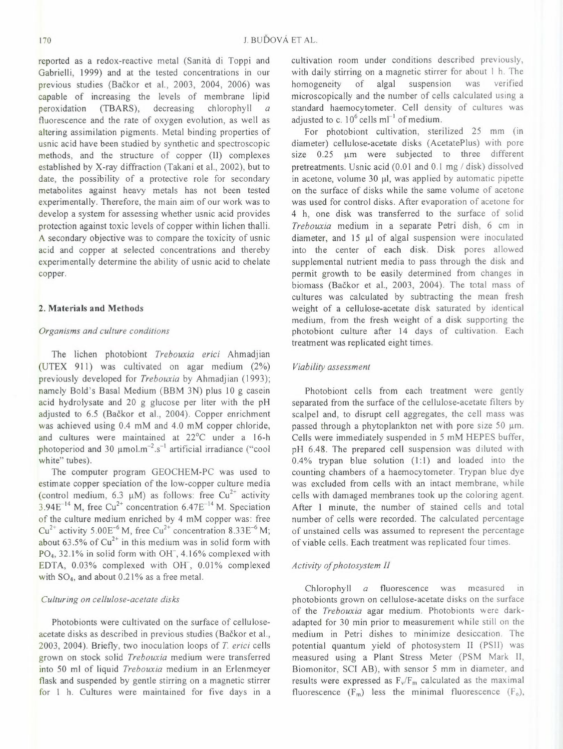reported as a redox-reactive metal (Sanita di Toppi and Gabrielli, 1999) and at the tested concentrations in our previous studies (Bačkor et al., 2003, 2004, 2006) was capable of increasing the levels of membrane lipid peroxidation (TBARS), decreasing chlorophyll *a*  fluorescence and the rate of oxygen evolution, as well as altering assimilation pigments. Metal binding properties of usnic acid have been studied by synthetic and spectroscopic methods, and the structure of copper (II) complexes established by X-ray diffraction (Takani et al., 2002), but to date, the possibility of a protective role for secondary metabolites against heavy metals has not been tested experimentally. Therefore, the main aim of our work was to develop a system for assessing whether usnic acid provides protection against toxic levels of copper within lichen thalli. A secondary objective was to compare the toxicity of usnic acid and copper at selected concentrations and thereby experimentally determine the ability of usnic acid to chelate copper.

# **2. Materials and Methods**

# *Organisms and culture conditions*

The lichen photobiont *Trebouxia erici* Ahmadjian (UTEX 911) was cultivated on agar medium (2%) previously developed for *Trebouxia* by Ahmadjian (1993); namely Bold's Basal Medium (BBM 3N) plus 10 g casein acid hydrolysate and 20 g glucose per liter with the pH adjusted to 6.5 (Bačkor et al., 2004). Copper enrichment was achieved using 0.4 mM and 4.0 mM copper chloride, and cultures were maintained at 22°C under a 16-h photoperiod and 30  $\mu$ mol.m<sup>-2</sup>.s<sup>-1</sup> artificial irradiance ("cool white" tubes).

The computer program GEOCHEM-PC was used to estimate copper speciation of the low-copper culture media (control medium, 6.3  $\mu$ M) as follows: free Cu<sup>2+</sup> activity  $3.94E^{-14}$  M, free Cu<sup>2+</sup> concentration 6.47E<sup>-14</sup> M. Speciation of the culture medium enriched by 4 mM copper was: free  $Cu^{2+}$  activity 5.00E<sup>-6</sup> M, free Cu<sup>2+</sup> concentration 8.33E<sup>-6</sup> M; about 63.5% of  $Cu^{2+}$  in this medium was in solid form with PO<sub>4</sub>, 32.1% in solid form with OH<sup>-</sup>, 4.16% complexed with EDTA, 0.03% complexed with Off, 0.01% complexed with  $SO_4$ , and about 0.21% as a free metal.

# *Culturing on cellulose-acetate disks*

Photobionts were cultivated on the surface of celluloseacetate disks as described in previous studies (Bačkor et al., 2003, 2004). Briefly, two inoculation loops of *T. erici* cells grown on stock solid *Trebouxia* medium were transferred into 50 ml of liquid *Trebouxia* medium in an Erlenmeyer flask and suspended by gentle stirring on a magnetic stirrer for l h. Cultures were maintained for five days in a cultivation room under conditions described previously, with daily stirring on a magnetic stirrer for about 1 h. The homogeneity of algal suspension was verified microscopically and the number of cells calculated using a standard haemocytometer. Cell density of cultures was adjusted to c.  $10^6$  cells ml<sup>-1</sup> of medium.

For photobiont cultivation, sterilized 25 mm (in diameter) cellulose-acetate disks (AcetatePlus) with pore size 0.25 µm were subjected to three different pretreatments. Usnic acid (0.01 and 0.1 mg *I* disk) dissolved in acetone, volume 30 **µl,** was applied by automatic pipette on the surface of disks while the same volume of acetone was used for control disks. After evaporation of acetone for 4 h, one disk was transferred to the surface of solid *Trebouxia* medium in a separate Petri dish, 6 cm in diameter, and 15 µl of algal suspension were inoculated into the center of each disk. Disk pores allowed supplemental nutrient media to pass through the disk and permit growth to be easily determined from changes in biomass (Bačkor et al., 2003, 2004). The total mass of cultures was calculated by subtracting the mean fresh weight of a cellulose-acetate disk saturated by identical medium, from the fresh weight of a disk supporting the photobiont culture after 14 days of cultivation. Each treatment was replicated eight times.

# *Viability assessment*

Photobiont cells from each treatment were gently separated from the surface of the cellulose-acetate filters by scalpel and, to disrupt cell aggregates, the cell mass was passed through a phytoplankton net with pore size 50 um. Cells were immediately suspended in 5 mM HEPES buffer, pH 6.48. The prepared cell suspension was diluted with 0.4% trypan blue solution (1:1) and loaded into the counting chambers of a haemocytometer. Trypan blue dye was excluded from cells with an intact membrane, while cells with damaged membranes took up the coloring agent. After I minute, the number of stained cells and total number of cells were recorded. The calculated percentage of unstained cells was assumed to represent the percentage of viable cells. Each treatment was replicated four times.

# *Activity of photosystem II*

Chlorophyll *a* fluorescence was measured in photobionts grown on cellulose-acetate disks on the surface of the *Trebouxia* agar medium. Photobionts were darkadapted for 30 min prior to measurement while still on the medium in Petri dishes to minimize desiccation. The potential quantum yield of photosystem II (PSI!) was measured using a Plant Stress Meter (PSM Mark II, Biomonitor, SCI AB), with sensor 5 mm in diameter, and results were expressed as  $F_v/F_m$  calculated as the maximal fluorescence  $(F_m)$  less the minimal fluorescence  $(F_o)$ ,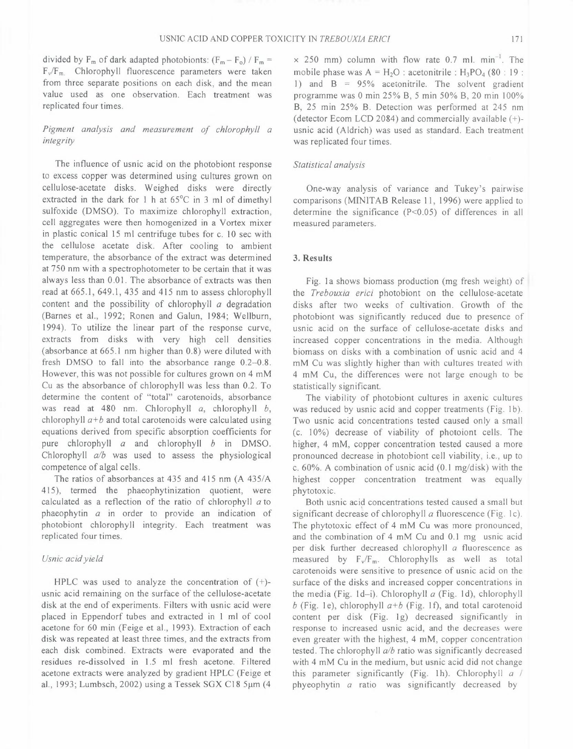171

divided by  $F_m$  of dark adapted photobionts:  $(F_m - F_o) / F_m =$ F<sub>v</sub>/F<sub>m.</sub> Chlorophyll fluorescence parameters were taken from three separate positions on each disk, and the mean value used as one observation. Each treatment was replicated four times.

# *Pigment analysis and measurement of chlorophyll a integrity*

The influence of usnic acid on the photobiont response to excess copper was determined using cultures grown on cellulose-acetate disks. Weighed disks were directly extracted in the dark for 1 h at 65°C in 3 ml of dimethyl sulfoxide (DMSO). To maximize chlorophyll extraction, cell aggregates were then homogenized in a Vortex mixer in plastic conical 15 ml centrifuge tubes for c. 10 sec with the cellulose acetate disk. After cooling to ambient temperature, the absorbance of the extract was determined at 750 nm with a spectrophotometer to be certain that it was always less than 0.01. The absorbance of extracts was then read at 665.1, 649.1, 435 and 415 nm to assess chlorophyll content and the possibility of chlorophyll *a* degradation (Barnes et al., 1992; Ronen and Galun, 1984; Wellburn, 1994). To utilize the linear part of the response curve, extracts from disks with very high cell densities (absorbance at 665.1 nm higher than 0.8) were diluted with fresh DMSO to fall into the absorbance range 0.2-0.8. However, this was not possible for cultures grown on 4 mM Cu as the absorbance of chlorophyll was less than 0.2. To determine the content of "total" carotenoids, absorbance was read at 480 nm. Chlorophyll *a,* chlorophyll *b,*  chlorophyll *a+b* and total carotenoids were calculated using equations derived from specific absorption coefficients for pure chlorophyll *a* and chlorophyll *b* in DMSO. Chlorophyll *alb* was used to assess the physiological competence of algal cells.

The ratios of absorbances at 435 and 415 nm (A 435/A) 415), termed the phaeophytinization quotient, were calculated as a reflection of the ratio of chlorophyll *a* to phaeophytin *a* in order to provide an indication of photobiont chlorophyll integrity. Each treatment was replicated four times.

# *Usnic acid yield*

HPLC was used to analyze the concentration of  $(+)$ usnic acid remaining on the surface of the cellulose-acetate disk at the end of experiments. Filters with usnic acid were placed in Eppendorf tubes and extracted in I ml of cool acetone for 60 min (Feige et al., 1993). Extraction of each disk was repeated at least three times, and the extracts from each disk combined. Extracts were evaporated and the residues re-dissolved in 1.5 ml fresh acetone. Filtered acetone extracts were analyzed by gradient HPLC (Feige et al., 1993; Lumbsch, 2002) using a Tessek SGX C18  $5\mu$ m (4

 $\times$  250 mm) column with flow rate 0.7 ml. min<sup>-1</sup>. The mobile phase was  $A = H_2O$ : acetonitrile :  $H_3PO_4$  (80 : 19 : 1) and  $B = 95%$  acetonitrile. The solvent gradient programme was O min 25% B, 5 min 50% B, 20 min 100% B, 25 min 25% B. Detection was performed at 245 nm (detector Ecom LCD 2084) and commercially available(+) usnic acid (Aldrich) was used as standard. Each treatment was replicated four times.

# *Statistical analysis*

One-way analysis of variance and Tukey's pairwise comparisons (MINITAB Release 11, 1996) were applied to determine the significance (P<0.05) of differences in all measured parameters.

# **3. Results**

Fig. la shows biomass production (mg fresh weight) of the *Trebouxia erici* photobiont on the cellulose-acetate disks after two weeks of cultivation. Growth of the photobiont was significantly reduced due to presence of usnic acid on the surface of cellulose-acetate disks and increased copper concentrations in the media. Although biomass on disks with a combination of usnic acid and 4 mM Cu was slightly higher than with cultures treated with 4 mM Cu, the differences were not large enough to be statistically significant.

The viability of photobiont cultures in axenic cultures was reduced by usnic acid and copper treatments (Fig. 1b). Two usnic acid concentrations tested caused only a small (c. 10%) decrease of viability of photoiont cells. The higher, 4 mM, copper concentration tested caused a more pronounced decrease in photobiont cell viability, i.e., up to c. 60%. A combination of usnic acid (0.1 mg/disk) with the highest copper concentration treatment was equally phytotoxic.

Both usnic acid concentrations tested caused a small but significant decrease of chlorophyll *a* fluorescence (Fig. 1c). The phytotoxic effect of 4 mM Cu was more pronounced, and the combination of 4 mM Cu and 0.1 mg usnic acid per disk further decreased chlorophyll *a* fluorescence as measured by  $F_v/F_m$ . Chlorophylls as well as total carotenoids were sensitive to presence of usnic acid on the surface of the disks and increased copper concentrations in the media (Fig. 1d-i). Chlorophyll *a* (Fig. 1d), chlorophyll  $b$  (Fig. 1e), chlorophyll  $a+b$  (Fig. 1f), and total carotenoid content per disk (Fig. lg) decreased significantly in response to increased usnic acid, and the decreases were even greater with the highest, 4 mM, copper concentration tested. The chlorophyll *alb* ratio was significantly decreased with 4 mM Cu in the medium, but usnic acid did not change this parameter significantly (Fig. lh). Chlorophyll *a I*  phyeophytin *a* ratio was significantly decreased by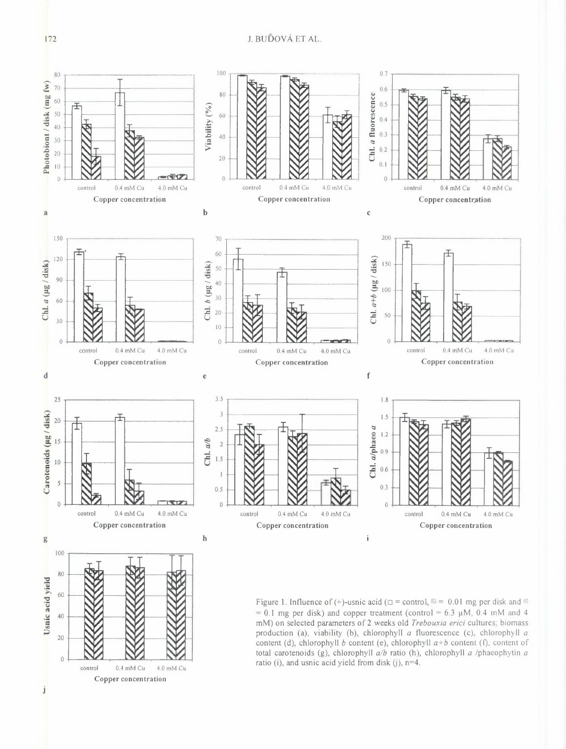

172

Copper concentration

 $_{\rm j}$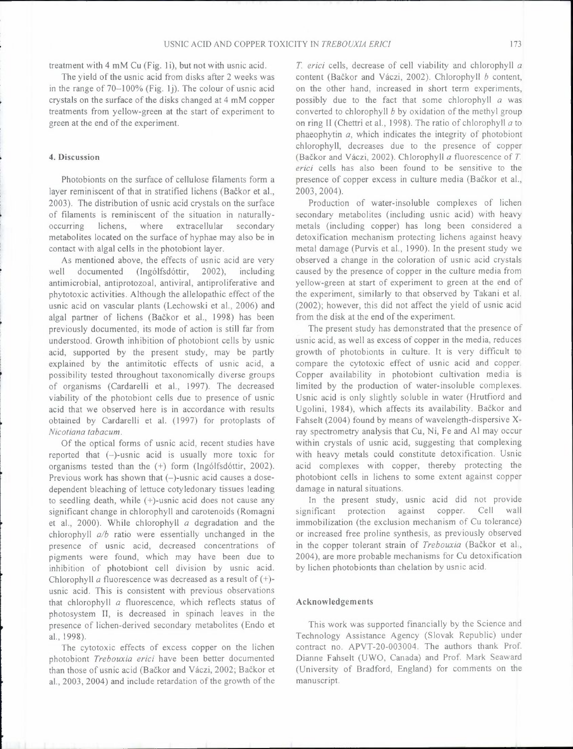treatment with 4 mM Cu (Fig. Ii), but not with usnic acid.

The yield of the usnic acid from disks after 2 weeks was in the range of 70-100% (Fig. lj). The colour of usnic acid crystals on the surface of the disks changed at 4 mM copper treatments from yellow-green at the start of experiment to green at the end of the experiment.

# **4. Discussion**

Photobionts on the surface of cellulose filaments form a layer reminiscent of that in stratified lichens (Bačkor et al., 2003). The distribution of usnic acid crystals on the surface of filaments is reminiscent of the situation in naturallyoccurring lichens, where extracellular secondary metabolites located on the surface of hyphae may also be in contact with algal cells in the photobiont layer.

As mentioned above, the effects of usnic acid are very well documented (Ingólfsdóttir, 2002), including antimicrobial, antiprotozoal, antiviral, antiproliferative and phytotoxic activities. Although the allelopathic effect of the usnic acid on vascular plants (Lechowski et al., 2006) and algal partner of lichens (Backer et al., 1998) has been previously documented, its mode of action is still far from understood. Growth inhibition of photobiont cells by usnic acid, supported by the present study, may be partly explained by the antimitotic effects of usnic acid, a possibility tested throughout taxonomically diverse groups of organisms (Cardarelli et al., 1997). The decreased viability of the photobiont cells due to presence of usnic acid that we observed here is in accordance with results obtained by Cardarelli et al. ( 1997) for protoplasts of *Nicotiana tabacum.* 

Of the optical forms of usnic acid, recent studies have reported that (-)-usnic acid is usually more toxic for organisms tested than the (+) form (Ing6lfsd6ttir, 2002). Previous work has shown that  $(-)$ -usnic acid causes a dosedependent bleaching of lettuce cotyledonary tissues leading to seedling death, while (+)-usnic acid does not cause any significant change in chlorophyll and carotenoids (Romagni et al., 2000). While chlorophyll *a* degradation and the chlorophyll *alb* ratio were essentially unchanged in the presence of usnic acid, decreased concentrations of pigments were found, which may have been due to inhibition of photobiont cell division by usnic acid. Chlorophyll *a* fluorescence was decreased as a result of  $(+)$ usnic acid. This is consistent with previous observations that chlorophyll *a* fluorescence, which reflects status of photosystem II, is decreased in spinach leaves in the presence of lichen-derived secondary metabolites (Endo et al., 1998).

The cytotoxic effects of excess copper on the lichen photobiont *Trebouxia erici* have been better documented than those of usnic acid (Bačkor and Váczi, 2002; Bačkor et al., 2003, 2004) and include retardation of the growth of the *T erici* cells, decrease of cell viability and chlorophyll *a*  content (Backer and Vaczi, 2002). Chlorophyll *b* content, on the other hand, increased in short term experiments, possibly due to the fact that some chlorophyll *a* was converted to chlorophyll *b* by oxidation of the methyl group on ring **LI** (Chettri et al., 1998). The ratio of chlorophyll *a* to phaeophytin *a,* which indicates the integrity of photobiont chlorophyll, decreases due to the presence of copper (Backer and Vaczi, 2002). Chlorophyll *a* fluorescence of *T. erici* cells has also been found to be sensitive to the presence of copper excess in culture media (Bačkor et al., 2003, 2004).

Production of water-insoluble complexes of lichen secondary metabolites (including usnic acid) with heavy metals (including copper) has long been considered a detoxification mechanism protecting lichens against heavy metal damage (Purvis et al., 1990). In the present study we observed a change in the coloration of usnic acid crystals caused by the presence of copper in the culture media from yellow-green at start of experiment to green at the end of the experiment, similarly to that observed by Takani et al. (2002); however, this did not affect the yield of usnic acid from the disk at the end of the experiment.

The present study has demonstrated that the presence of usnic acid, as well as excess of copper in the media, reduces growth of photobionts in culture. It is very difficult to compare the cytotoxic effect of usnic acid and copper. Copper availability in photobiont cultivation media is limited by the production of water-insoluble complexes. Usnic acid is only slightly soluble in water (Hrutfiord and Ugolini, 1984), which affects its availability. Bačkor and Fahselt (2004) found by means of wavelength-dispersive Xray spectrometry analysis that Cu, Ni, Fe and Al may occur within crystals of usnic acid, suggesting that complexing with heavy metals could constitute detoxification. Usnic acid complexes with copper, thereby protecting the photobiont cells in lichens to some extent against copper damage in natural situations.

In the present study, usnic acid did not provide significant protection against copper. Cell wall immobilization (the exclusion mechanism of Cu tolerance) or increased free proline synthesis, as previously observed in the copper tolerant strain of *Trebouxia* (Bačkor et al., 2004), are more probable mechanisms for Cu detoxification by lichen photobionts than chelation by usnic acid.

# **Acknowledgements**

This work was supported financially by the Science and Technology Assistance Agency (Slovak Republic) under contract no. APVT-20-003004. The authors thank Prof Dianne Fahselt (UWO, Canada) and Prof. Mark Seaward (University of Bradford, England) for comments on the manuscript.